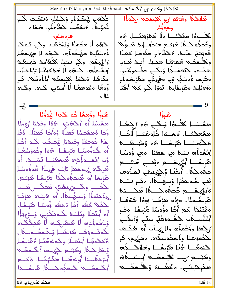تَعَلَّفُكُمَّا وَهَّبْتُمْ تَهِجْ أَكْتَمْهُكُمْ Mezalto D`Maryam sed Elishbach كُلْشَى هُتْمُلُو وَكُمُلًا مَكْتُبًا عَلَيْهِمْ مَسْتَدَّمَتُ تَعَلَّلُكُما وَهَٰنَكُمْ رَبِّ لَكَبِعَدُ رَجْدَلَا لَمُوَّىدًا. ەَىمَّصَّى ئىكْتُومَار. ھُھَلَّ وحموؤثار كْلُّـــةُ | مِكَحْـُـــا ولًا مْحْوَوْتُنُـــا. 5ه فزه هنگم لِحْمَٰهِ لَٰا مِحَمَّزَا وْالْحَمَّـ:. وكَبِ تَـمكَرِ وحُحدُّہ ڪَدُا هُـٰٓ;ـُــمِ هـُٓ;حـُ;تُــابِـمْ شَـــوَيْلا ؤْهِمُنُلِط حَمْحُماً هِ. كَمَّةُ لَّا هِيَجْمَعُكُمْ فَْوَوْهُمْ هُنَّما. هَكْنُوْسُ حِنْفُكُمْ كَعَبُّرُ وٱللَّـمصَّـــلا مَحْصَــدَا. أَبِــد مُحــزب وْلِيُهُمْ. وِكَي سَتَبِهْ كَلَاهُ إِلَى حَبْسِكُمْ إِنْشُـهِلُمْ. كَــمَه لَا شَمْكَنِتُـلْ وْالْمَــزَب هِنُـهِ; لِكَنَّفُــدًا وَّـكَـــر حَنَّــهِ وَتُسُرٍ. حدَّثَهَا. هَكْمُا كَلِيمكَلا أَلْمُأْهَكُلا. كَمِ ەھْبِھا ۋُەسُكَّلا ۋې ەھَيْتَى حجَّبْشُمانُر ذُهِ هُمْ اللَّهُ عَنْهُمْ وَاللَّهُ وَاللَّهُ عَنْهُمْ وَاللَّهُ وَاللَّهُ وَاللَّهُ وَالَّذِّينَ 016 مَلِيم 00 مُؤْسِمُلِيم. تَوْفَرَا لَكُنْ كَلِيمَةَ أَفَتْ يُأَا \*  $\mathcal{L}$ شَرْدًا وِذَهِمًا ثُم كَحَرًا يُُوذُبًا ۿڔۏؙٳ همُسُل أَه أَحْدَهَــَىٰ. هَهُ اوضَّطْئَا زَوِذِلَّا همُسُــا لِمَدْهُا وُحْكِ هُه رَحِحْمَــا ذُكُل ةَمحمَّحسُل حَميلًا وَّه/َّكُل كَمثَلًا. ةَكُل همَعكنا. هَمـــدَا ذُاهِعَمَــا لَأَحُــا هُزَا خُوصُنُا وِتَعِجْنَا يُجَعِنُكَ جُدَ أَجَا ەڭەئىلە ھۇگىلە ھە ۋەئىمكى أَه لَكُهزُّه سُـٰل هَٰٓبُـِهُـل. 3% وَحُدِّوسُعُـل إِنْهُوَٰٓاهُ بِشَدْ هُمْ هِعَٰنَا. وَقِى وُوْمِنَا وًا إِنْمَاءَ إِمْرَةٍ مُحْمِّئُكُمْ لَمْسَكِنَ أَن هَبْهُــا أَلَيْهُــــم هِشَبْ هَٰـْـــم تَعْرِكُمْ يُهْمَعُ الْجَرِفَ حَالَةَ الْمُعْمَرَةُ مِنْكُرِيَةً حِدُّه كَـٰهُا. أَبِّضُا وَكَـٰهَـٰبِيضَ نَـْفَـٰٓوَهِ هَّيمًا أَو مُدكِّوكاً هَيْمًا هُزِيَّعٍ. بْْفِ هُـٰمَحْدُ ۢ ٰ وَٰ مِنْ مِجْلًا. وَفَ لِسْبِهِ لمكس وكمستهيئ فيحكم وأعامل ةالم مُسمِ حَدِمُه هـ ـ ـ أا هَهَـــ مَهِ حِكْمَةٌ مَا تَجْمَعَ مِنْ أَهْمِيهِ مِنْ مَنْكُمْ مِنْ مَنْكُمْ مِنْ هُبُمُّماً. وَوُّهِ هُبُكُ: وَهُلْ هَٰذَهَا لِلْفُلا يُعِثُم أَجُل ةَجِعْدَ وُوسُل كَيْسًا. ەقتئىدا كىر آخا ەۋەمئا ھۇمغا. ەڭر أَه أَسَّمَلَا وِنَاسْدَ جُدْمَكُونَيْ وَحَوْوَفُاْ ٱلملَّاسـدًات لحفَّـدوَهُـّهَ سكَ وَّاسكَت وُخُصُهٗهُم لَٰا هُعمُرِجُدِهِ لَٰا هُعبُكَدِهِ رُكِعُل وذُهُمْاه ولَّاحِكُ أَه هَفْـم ِكُوضُـووْهُـا هَٰزُلْكُـل وُلِمْ هِضُـوبِلالْ). لْحَدُّوْهِمُّا وِلْمَحْْمِيْدُهُ. وَكَرْبَهُمْ كَر ةَكْلَمْجَا أَعْكَا وِكْمَمْعَضَا ةَعَيْضًا كحكم هُنا هُبُسُما وقلائكِمُ وُتِقْلَاكُمَا وَهُزْسُمْ كَيْتَ أَنْكُنْعَصَلَهُ وهُنسُم أبِ للبعضَــلا إسسُــدُاف أَعْدِدُكُ إِلَى أُوسُوهُما مِحْمُرُسًا. وْكَسُمْ ھكېئېتىكى. ەكھُــة ۋېلىمكــە أكْتَمَكُنْ كَتْحَذُّهِ حَسَمًا هَزَيْمُ وَا

مَحْدُبُهُ الْمُحْمَدِينَ الْمُحْمَدَة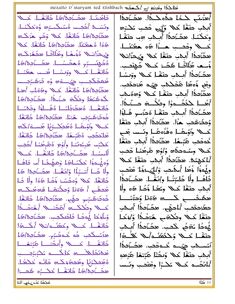تَعَلَّلُكُمَا وَهَٰبَتُمْ تَنْ Mezalto D'Maryam sed Elishbach دْاهْتِئا. مِجَــَزْدِهْ/هَا جَاتِشْـا. كَـــلا أَهزَّمَـٰٓ كَـٰهُمْ حَدُّہ كَـٰهُ!. هَخَـٰٓزَحِهُ! وتُشْبِهِ أُخَمِّتْ وَمُتَكَسِّرُهُ وُوتَكَتْبَا. أبلاب حتَقْل حُلا وَلَى حَصبِ عَكْرُه هَدَّدِهِ ١٤/١ دَاتِقًا. كَمَلا وَدَّرِ هَزَكَتِهِ وتَكْتُـا. هَـضَـزَمَهُا أَبِـهِبِ هِبِ حَتَقْـا 66ا ةَ مَعَنْنُا. مِحَرَّدِهِ/66 حَاتَمْا. كَلا كَمِيلًا وَتَحْسِبُ هِيءُ! 6َهُ هَعَنُفُـًا. فجحزائلا ةُؤْمُما ومَكْلاَتْ محكَّرْكُلُّهُ هجَّوَها أَبِهِ حِبْقًا حَمَّ يَجِزَاسَه ةَحَمِّسُــــرِّ وَهَحَْــُبِـــا. محَـــزَمِهِ/هَا ؤْسِمِ مَحْلَاثْنَا هَجَةٍ حُبِيلًا جَهْتَمِينٍ. كَاتِمْهَا. كَنْكَ وَوْنِسُهَا مُحْسَنٍ حَقَّصُهَا هدَّزُدهُ! أَبِيهِبِ حِبْشًا حُبِيهِ وَوَسُبَا هُمثْكُمِّبِ صَحْبَةٌ وَ وَ دَهُبُهِــَ وبْعِي وُهِمَعَلَّا هُشَكِّكُمْتٍ حَيْءٍ هَٰذِهِدْهِبٍ. محدَّدِهِ/هَا حَالَتْقَا. حَملاً وهَءَابٍ أَمِيا هدَّأَدهُ! أَبِيْدِ حِنْشًا كَبِيْلا وَ50 َحِيدٍ لْحُدِّهُنُعُل وهُكُنْ حِنَّمِكُلْ هِجَارَهُمُ لَهُمَا أَهْــا لِكُذُّــهُوا وثُكُــة حــزُبكَا. كَالْتَغْسَلْ. ةُهْدَرْجُلْسًا. ةُهَسَارُهُ! وَشَمْسًا. هكَنُحمًا أَبِــمْبِ حِنْقْـا هَجَّنِــبِ فَـاذًا حُودُرْهُمْ مِي هُزْمًا. مِحَزْمِهِ/16 حَالَتْهَا. وَحدَ:هْص هزُا. هدَّزَحدًا أَبِي حِبْقَا كَمِلا وَأَوْحَصًا ةَهُدَكَمْ وَبُلِّ هَمْسَةَ الْحَلْمَ كَنْكُلّْ وَأَوُّبْشَاءً وَفَّزُّوهُنَا وِنُسْبَدٍ ثَقِي هْالْدَهُدِبِ هُهَّرُـهُا. مِحَزَّدِهِ/هَا حَالَـقَا. خُوصْفٍ هَٰزُمِهَا. مِحَزَمِهُا أَبِيهِ حِبْقَا كْلّْبُ هُدِيّْدَتْنَا وأُوُمْ ةَهَرْهُنَا أَخْصِب كَــلا ومُــدَدُه وُٱوُم هُرِهُنَـا تَعـبِ لَّامِیْسا. محصَّرُدِهِ/16 جَاتَشْسا. جَسِيلا ٱلمَكْمِمَة. مِحَزَمِهُ! أَبِي حِتْقًا حَبْلا وُهِ يُحوُّلُ تَحْتَسَاهَا وَهِ مُحَكَّلاً أَبْ قَافُ ا وِيُّدَذُا ذُهُا أَمكُنْنِ وْالْمُكْلَوْلُا هْتَنْنِ ولًا حَــا أَتــبُدْا وَاتَشْــا. محَـــزَمِدا هَـا دَٰاهُٗــا ولًا حَٰلَّـٰٓتُــا والنُغُــا. هڪَــَٓحِدُا كَاتِمْلْ. كَلا وُهكَسْرْ وَكُلّْ هَٰهُ! وِلَّا كُلّْ أُبِكِبِ حِبْغًا كَحِلا ۖ وِحَعُما ذَكَٰا هَءَ ۚ وَلَٰا هُدِفَ أَ هَٰٓةَتَا وُحِذُّتَهَا فَعَمَّدُ و هُودَاهُمَ ٍ وَهَمَ عَيْنَ مَلَّامَ أَحَالَتْهَا. حعَّاحكَصِبِ ٱلْمَحَمَّى. مَحَـَّامَاً ٱسِـٰهَـٰ تمسلا وشككسه أقحنسلا أيمزحُسكُا وُلِلُوْكُل لِمُحُل حُلِّصُكُّحِبٍ. هِجَّزُدِهِ/1% حثقًا حُملاً وحُكْدْتِ هُرْحُكًا وَاوْحُلَّا كَاتَشْمَلْ كَمْلًا وَحُعَيْدُهُ إِنَّمَا أَكْمَرُهُ ا لْمِحُا ءُةِجُ ۖ خَصِبٍ. مِحَـَّرُدِهُ! أَبِــدَبِ هَاكْسَكْصِبْ هُمْ يُحْجَمَيْنِ. هَجَّزُمِهَااهَا حنْشَا كَـــلا وَحْكَمَتُــهِ/ملا كَلْـــرهُ| حَانِمْهِ ). حَمَّلا وأَبِدُهُ أَمَّتِهُ ا أَمُسِـــمْبِ جَيْـــهِ نُمَـــهِ صَحبٍ. هكَـــزَممُّا ھٰدئکلگے کلگے کٹرونے أبكب حثقًا حُلًا وُبحُثًا هُبُتمًا هُرَمو ةَهَدكَّهُا وهَدَهُوَكُمْ دَانَـْهِ مُدْهَا. ٱلمَنَّصَّـــم كَـــلا كَلَّـــزُا وقَتَنْصَبِ ونَــَــب محَــزَمِهِ/هَا حَاتَـقَــا عَـــزَه هَـــزا

مَحْدُمُا كَتَابَ مِنْ كَمْ الْفَكْتُ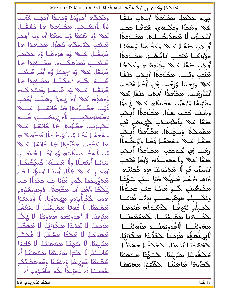تَعَلَّفُكُمَّا وَهَيْئِمِ تَهِجْ أَيْحُمْهُمْ Mezalto D`Maryam sed Elishbach حيّد حُكْمُل. محَدَّدهُ! أَسكب حثقْه وتُكْلُاه أُمِرَؤُهُا وْتَزْبِدُا أُحصِبِ كَارَب دَّلًا لَمُتَكَلِّمَتٍ. مِحَسَّرِهِا هَا خَاتَشَا. كَلًّا وهُدُا وثُكَّةُ وهُ هُدْقًا دُعب كَمْلًا ۚ وَٰهِ ۖ مَّنْعُدًا وَٰٮ ۖ حَمَّنُا أَه وَٰٮ أَوْكُـا ٱلمَدِّنُد لَّا مَحْمَدُسُلِيهِ. مِكَنَّحِدُاً هُمَيْبٍ لِمَشْهَدُهِ جَهْزًا. مِجَاَّدِهِ الْمَمْ أبحب حثشا كحلا وحُدَّدوُا وَحكَمًا كَاتِشًا. كَــلا وُه فُزهقُـا وُه كُلاهُـا 9وَ/وْكُــا هُنْصَبِ ٱلْمُحَصَّـزِ. هكَــزُممَّا هُمِتُهِـــبِ هُجِزْهِكْـــةِ. هِجَـــزُجِهِ إِهْلَ أبكب حثقًا تملا وفُنُوهْه ومُلحفُا كَالْتَغْلِ. كَلا وُه رُهِيمًا وُه أَكُل هُيبُب هْتْصِ وئس. هكَزُمهُ! أَبِــهِبِ حِتْغْـا هُسةا كُم أَحكَمًا. محَـزَمِها هَا كَتَلًا وَرَهِيمًا وَرَهَيتَ قِبَ أَكُنَا قَبْلَهِتِ كَاتِسْهَا. كَمَلا وُهِ هُرُهُمَا وِهُسَلاَمَكُمُ ٱللَّهُ هَـٰبٍ. هكَ ُصِدًا أَبِـهِـ حِتْقًا كَـلا وُّەدْيُرُه كَلا أَه يُّدوُّا وشَبِّ أَدَّدٍب وهَبُعُل وَاعِنُه حَصْلاً۞ كَمِدًا لِمُوذَا نَوُبٍ. محَـــزَمِها هَا حَاتِمْــا. كـــــلا وهُسُ دْحبِ هٰزُا. هكَزْدهُا أُبِــهِـ وَهَزَهْدَهُمْ مِنْ اللَّهِ مِنْ مِنْ الْمَسْرَى وَسَمَّى مِنْ حَلَقْا كَمَلا وَوَمَنْزَهِكُبِ لَمْتَى بِمَكْنٍ شَيْءٍ ككرمَ مِبِ. محَدَّدِهِ! هَا خَاتَشًا. حَمَلا هَٰهُمَكُمُّا وَسَهَّىدُا. هَكَ َٔحِدًّا أَبِــكِبِ وهْعِهَا ذُكَّا وُبِ ٱوُجِعُجَلًا مُحَزِّهِكُ و حتَمْل كَلا وِهْعَمُا ذُكُل وَأَوُحَدُهُا هَا تَدَّجِب. مَدَّزَمِهَا هَا دَاتَشَا. حَـلا رِهَمِد هِم حُـدحجِهِ. هكَـزَحمَّا أَبِــمَبِ وًى الْمَثَّــــــمــداً شرق وُه أَثْــــا مُّنتَثَـــت حْتَغْل كَمْلا وِلْمَحْدَمِيكُلُّ وَٰاِحًا مَحْتَصِب مَاسُا أَمنُعطًا وِلًا قَيْسَآهَا شُهُضُكَا. أَلْمَعِدًا وَ لَا مُحْمَدَتُمَّا وَ حَدَّتَهِ. اوحدا كَنْهُ وَذَٰإِنَّ أَسْبَا أَسْكُمْتَنَا دُلَّا ەُ/فَ هُـُـا شَـوْبَا هُوٓا مِنَّے مَكُنْـا مْدْفَى جُمْلَ حُدْمٍ مُنْ مَا حُدْ حُدْمِلًا حَب هقَىقَىنَے كُبِ هُزئا حِنَّا كُلَّةُ اُ لَكْثَا وأَهُدٍ أَبَ هَذَوَهُا. ةَوَهَّتِمَّرْهِ ونْݣْسْبِلُم ەُوھَبِّتْغَسْسِ «ەْب ھُزْسُلا ۞ەٞڡ؊ڴػؘؠڵؙؠؚ۠؈ۭ؆ڮۣ۞ۅؙٮۢڵ؞ڷؘڵ؋ٞٛڡڬٮؙۜٮؙڔٚڵ مَٰحَمَمُنَا. لَا حُقَانَا مِحَہِمُنَـا. لَا حَمَٰحَـٰا لْكُبْلُر نُزُوهُا. لِنُبَكُدُلُهُ هُنُوهُا. هنَّدِفُنُا. لَا أَهومِنَّقْنِه هِيهُومُنُا. لَا لِكِنْنَا لِّدُّتْ وَالْمَحْمَدُ الْمَحْمَقِيمُهُ ا هزَجِيْتًا. لَا جَهَيْرًا هِجُوْرُبًا. لَا مْحِقَتْنَا هدهَ وعُنُـــا. لَلَقُدَوْعَمنُـــد هدَنه عُنْـــا. هُهوهُدُا. لَا هُكِنْتُا هِمَّسْاً. لَا فُكِنْتُ ا لَّابِي تَمَوْدُه هزَحسُّا ححكَمْتْ! هـكَوْرُبُا. هنَّوبِيُثَلِ. لَا يَكُوشَا هِيَنْهِيْتُلْ. لَا جَاتِبْهَا. ﻼَﺘَﺘَﻪَﻨَـٰٓ ﺍُﻨُﻪِﻧًﺎ. ܠَﺘَﻼَﺘُـَﺎ ﻣَﻤَﯩ*ﻨُﻨ*ًﺎ. هَالنَّسُنُا لَا كَنُتَ ا هِجَا عَقَالَ هِسَهِنْنَا أَه ەَݣْھُوسْا ھِئْرِيْمُلُا. ݣْمَيْرْتَا ھِمْعَنْا مَٰهَىمُنَا خُمَىٰحًا وُمَعَمْىًا ومَٰهِ هِمَٰلَىٰ كْحَتَمِدْهَ المَحْلِطِينَ الْمَحْتَمَرِ الْمَحْمَدِينَ ـَهُدَهَـٰہُ أَنْ ـَأَدَوُـٰٓهُ اللَّـٰٰٓدَ كَأَكَـٰٓءُو ۖ أَن

مَحْدُمُا حَرَّم سَمْعَ الْمُحْمَدَ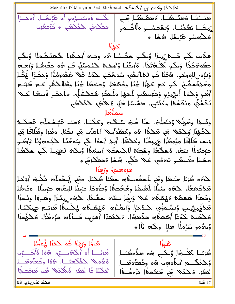تَعَلَّمُكُمَّا وَهَٰذِيَهِ مَنْ Mezalto D'Maryam sed Elishbach لْكُــه وْممَــــزِّمر أَه هَزَــمُــا. أُمكــزًا ھنَىسُلُّا ەُھنىھُلُّا. ەَھكَىھُلُّا بْمَـــ حثَلامٌ للنُلْعُبِ \* خَرْمَعُنِ حْكُمْ الْمَعْسُسُةُ. وَيَعْجَسُبُ وَلَلْأَصْبَحِ ەَلأەمْب ھَبْعُا. ھُھَا \* تحجزا هكُمب كُم شَيْئًا وَلَيْتُ هَضَيْئًا 6َهُ وَجِدَةً أَحْكُوْمًا كُلْفِتُبْقُواً! وَيَكُمْ حعَدةحُدًا وُلكُن كَلاُ الْأَشْرَاءُ. هَ/لَكْنُا وَٱلْعَـدْ حَنَّـدَمَنُ كَـرٍ اللَّهُ حَدَّاهُـا وْ/شَـد وَّىزَورِ لِلِوفِكْسِ. هُكَمُّا حُرِ تَمْلاَّبِكُو مُتَمَعُّكَتِي حَكْمًا قُلا هُكُووَهُ أَلا وَحَجَّزًا لُمَض ەھْكْكُمْشَبِّ كُـرٍ كَـْمْ كَـرْمَةُ ا هُـُمَا وِكْـتّْفْعْلْ. وَحَـمَّاهُما وَهْـالْكَـكُر كَــمْ هَذْكُـمْ أَهُرِ وَكَمَا أَمِنَّيْ وَحَتَمِيعَى الْحَوْا مِلَّحَةٍ هَصَكَتُمَّلُ. مِلْحَدٍ قَسِعْا كَــلا تَقْعُكُمْ وَتَقْعُدُا وِكَتُنَبِّى. هِعُسُلْ هُزَى وَ لِلَهُ مِنْ حُكُمْهِم محمأها وِصُّدًا وِتَعهُّلا وَصَدَاٰة. هزًا صُـة سَمـْدُـه وِتَعكُـٰا. هَصَـٰرٍ هَبَعمْاه هَصكـه لمُحَمِّلُ وَلِحْدَلا بِّهِ مَمْكُمُ! 6ه وكَعَنُهُ *أَملا أَلم*ُنَى بِّهِ بِحَبًا. وهُنُا وَهَكَاتُنَا بِّهِ فِيعًا مَكْلَاتُا وَوُومُنُا وَيُبِكُرُا وِيُحْكَفُا. أَبِيهِ أَحْوُا جُي وَجَومُنَا كَثِيهِ وَوَيُا وَاهُبِ دَمِنُه أَا سَمَّ: هَ هَدُهُا وهَمِنَه لَا كُلْمَكَن إسسُلاًا وَجَدْهَ تَعْهَا كَلَّ هَدُهَا ا ەھَىلَا ەۋَمىڭىر ئەەۋە كىلا ئىگ. ھُھَا ەَھتْلاھُ، \* انومحدة وزوءًا لِهُو هُزئا هزَيعُا وقِي لْمِحْمِيلَاهِ لِمَعْنَا هَٰلِيًا. وقِي لَمِحْمَلَهِ كَلَامَ أَوْجُا هْدْكُهِمْا. ۖ دْهُه مّْمُلًا لِّأَهُمْهُا وِهُرْكُحِدًا وُحِبُّوهَا حَيْسًا لِلْبِعْبَرِهِ حَرْمِمُلا. وكَرْهُا وصَّعاً هُدَمَّا مِنْكَمَّةٍ مِنْ الْمَدْرِ مِنْ مَنْ مَسَّلَا مِنْكَمَّا وَمَنْ وَالْمَدَوَّا وَلَد شَدْفَى تَيْبِ وَسَسْمَوْهِ مِنْكُمْ مِنْ الْمَمْرَةِ. وَلَكَنْكُمْ مِنْ مَا مَنْ تَسْرَبُوهُمْ فَسَ مَكْصُطْ كَمُتًا أَهْعِدُو حِكْمِمُا. مَكْكُعَتْرَا أُهرَّبِ حُسرُلُو حَزْمِمُّزَا. مَكَهُّوزًا وُمِثَاهُومٍ مَثَرُها الله هَلا وَلَكُمْ عَالَمُ هْبِوًّا وَرُهِّا هُمْ كَلَّا لُهُوَٰٓئًا ﴾ هُٰزِئَـــا أَه أَلَّكُمَّـــــَىْ. هَاهُ أَأَكَــــَبَ هُزئُــل كُلُّــةُ لَوُّــكَـــ هُء هذُه هُنْــل ةُ هُمَا الْمُلَاهِنُــا. هَهُ! وِجُعِبُوهُــا وَحِحْكُم مُكُوهِب هُو وِحَعْتُوهُما تَكْتُلَ دًا خُمَّرَ. ةَ كَلَكَلا مَّت مَّرَدَّدَكُم ـُكعًا:. هَــُـدْكُلا بْعِي هَـٰزِدَكِمَا دَّوْمَـٰـمَا

مَحْدُبُهُ الْمُحْمَدِينَ الْمُحْمَدَة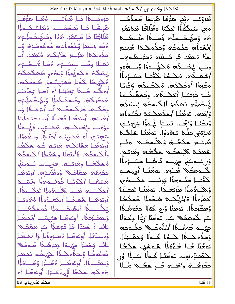تَعَلَّفُكُمَّا وَهُنْكُمْ رَمِجْ أَمْكُمْهُكُمْ Mezalto D`Maryam sed Elishbach

هْدَوِّمُتْ وَهْمْ هَٰٓوَٰهَا هُرَّتُمَا هُمَكُمُّتَ دَّوْهُـــداً هُــا هُــاتَـــب. وُهَــا هـُوْهَــا هَّنِـقْطِ دُــل هُـمَدِّـــب. ةَهَامَّتكــدِلُّا ەبْعِ سَىڭشَاْ تَحْتْلَ مَعَلَّاتْل مْمْتَعَز. هَلَاجُتْا دُا هُبِيَٰهُ;. 6ةُ وحُبِهُبِحُـولَمْ و 06 وُحكُنفُـــه أَنْهُ وُحــــكُمُّا هوْمَعكَـــكُمْ ةُدُّە وْمُعْكُل وُمُعُمْمٍلُّدْ۞ شُەكْدەشْدَۇ، وُب إِنُغُماً ۞ حذَّهَ حَدَّهُ وَحِدُّهِ حَـٰهُمْ هَٰذِكُـمْ حَيْهِ حَكَمًا مِنْ مَعْ مِنْزَاتِكُ وَيَحْمَدُونَ أَب هُزَا هَدَهَانَ مَ مَسْتَمَّة هَ مَتَوَسِعَة مِنْ تَعَبَّلَا وَحُبَّ سَتَتَّبَدُوهِ وَكُمَّا وَجَمَعَتُدُوهِ وْسِي لِكْسِـدُهِ هَكِيُّـدُوٰا وُسَــدُّهِو لِكْتَلَاهَ ۚ مُكُوفُوا وُ وَهُوو ۖ هُـْعَكُمْكَاهَ أَهْمِــدُه. هَـلَــدُ لِلْتُدُبِّـ الْمَسْـرُهِ أَلْ ةَ كَهَكًا ۚ كَتُمْرًا ضَعَوَّجِسُوءًا ۖ هُـوضَكَة. ەخَوْرًا أُەشْكَلُاھ. ەُكْصَٰىلُاھ وَاثْرَسُـْا أُهكُمْ كَسْلًا وْاجّْنْتَا أَهْ أَهْلُوا وْجّْنْتِنَا كَ جَوْصُل أَبْعَلَــدْ0. وجَعفَـبْــولم مَّدَدَّدَدُه . وحَـمصَّدُه إِلَّا وَجِهَدُو إِمْرَه لَمِحْماً منْ قَدْهُوْ لْالْكُلْمُحَكّْ إِسْتُلَافُ ودُكْلُهَا تْالْكْتْعَدّْبْ لَا أَعْجَلْهُمْ وَب وْاْهُدە. خَەھُلْمْ أَحْدُهْدْ مَدْ بِكَتْجَاهِ أَهَدَرَهِ. أَوِجَهِ هَذَا خَعَصُلَا أَبَّ تَحَدَّدِيَٰتِهِ ا وَبِحَيْهَا وَاهَدٍ: تَسْتَرَا فُودُا وَرَهِيَوْمِ وَوَّةَ بِ وَإِهْزَاكَ مِنْ هُدْجَ بِ وَأَهْدَهُ ا ەَبْقَىٰ حَتُّى سُوْهُوا. سَوْسُل هَلگى وْرَجِعُمِ أَو مُعْجَبُكَ أَحتُكُما وُسِتَّووُا. هُزئِهِ مِكْعُدُهُ وَلِلْمِعَــٰلا. ٥ئَــِ أُوعَة هَا مَعَائِكَ بِهِ الْهَيْتُ وَاحْدَ الْعَلَيْهِ وَالْمَدَّلَ هْعِدُمُ ٱلْمِعْصُدِ مِكْعُدِهِ وَهُزَسُعٍ. وٱلْمُعَكِّد. ةُٱمنَّكْلَا وِهَٰثَنَكُلَّا ٱلْمُعَكِّد وُرِ مُــممَّةٍ حَيْــم دَّوْهُــا حَمَّــرُه أَ ةُهكُعُــا وهُزَئـــع. فَوَّجِــِيبَ شَــْمَيْتُ كَــوصَ الْــْآه. مَا مُنْــا أَقِيمَــهِ حَدُرَهُ وَ مَحَاكَــه وُوهُزَّتْ10. أُوعُوهَــا هُسْڤَــا أَحْدُثْــا خُونُــوەوْا وِنُسْــد لْكَثّْصًا حِنَّــهِ وَأَ وُوِئَــب حَكْـــ وَّهِ م وَحِلاً وَهُواْلِ مِنْرَعِيجاً. وَهُوُسُلِ تَحِصَرْاً: أحكمته مُحب كلُه وَواْل تحك وال كَعزُّە)ُ 16ْمُلْكِتُمْ هُىشُە)ُ كَ**م**ْكُعُّا أوجدها هَقَبْدُ الْمَحْدِرُواْ وَهَمْنَا لِكُــــٰهُا أَحمَّحُــــولَا ذَوهكُمُـــا وَهكَرْحِدًا. عَمِّصُلَ وُرِهِ ۚ خَةِلًا حَجَّرْهُــدًا وُعِجَدَ وَجِدًا. أُوعَمَدا فَوَجِئَب أَنْجَعَتْنَا مَّعٍ كُوهِكُلا مَّعٍ. عَوْمُلاً رَّجُّا وِكْتَهْلَا عَانَب أَ هَجْزَا جَا دَرْهُمُ! سَرِ مِحَصَّلًا ضَــه تَـٰهَــدُا ٱلْمَذَهَبَـــه حَــُــه تُــهَ وُّەمىــْزْنُا. أُوجّەهَــا ةُھــرّەوْنُا وَا تَحْتَقْـا وُحِدُّهِ حَــدًا ۖ حَــدًا ۖ خَــدلًا وَحِمَّــ;1أ. مَالَك وَحَمَدْا حَيْثَ ا وَحْرَهُكُمَّا هُـدتَـلا مَعْمَلا هُـْ: هُـتَوَٰهُ أَلَـ هَـعهها هكْهُـا دُّەتُدا وُحِدُّە كَـدًا كَيْخُـم تَحْتَفْـا لْمُكْتَبُوهِ . مُوْشُلُمْ كُلُمُ مُسْبِلًا وُر وً حكَنَّ ذِلًّا. أُوعُوهَــا وَّهُــزًا وَهُــزَّهُ إِلَّا حدَّرْهُـــــرَهُ وْاهْــــــره كَــــر ــعظــــــلا هُـــلّا رُّهِ مَكْتُمْ ابْسَكْتُمْ لَلْكُمْ مَكْتُمْ أَوْسَاءَ مَنْ الْمُكْتُمْ مَكْتُمْ الْمَحْسَنَةِ مِنْ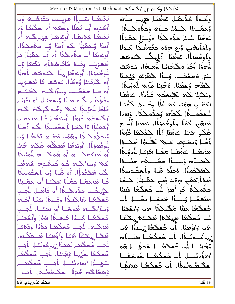تَعَلَّفُوا وَهَيْتُمْ رَمِجْ أَلْكُلُّمَكُمْ Mezalto D'Maryam sed Elishbach

تَكْتَعُطَ مَيْنَ إِذَا هُوَّجِنِيتَ حَذَّرْهَنَّةَ وَّتَ أَهُدْمِهِ أَبِ تَعَلَّا وِهَٰتَنِهِ أَه هَكْتُنَا وُهِ تَكْتَعْدَا كَمْتَعَادْ، أَوْجَةَ هَذَا هَيْ رَبَّكُ، أَهْ أَحزُا وُحِدَّنَهُمْ لَكُم أَحزُا وُبِ حَذَّوَهِ حَذَا. أُوعَوهَا أَبِ حِذْوِجِكُمُ أَو أَبِ حَجَزِيًٰا ذَا مْدْمُ مِنْد وَشَدْ خَاجَة هَدْءُ مُ تَحْتَمْدَ وَب لْمُوشُومَهْا. أُوسُومُل بِالْمَاسِمِينَ مِنْ الْمَوْمَ الْمَوْمَ أَه ݣَاجَائا وُهمَٰزًا. عُهِقَفَ دًا هُـفـرَب أَه صُل هُمُكَــب وَسْتَرَاكَــهِ كَعَزْتَــع وكُهُنا كُـه هُـزُا وُحِعِكْـا. أَه اجَٰنـُـا دُامْا لَمَوَّىمُ! حَمَلا وهُدمَكْرِكَةَ كَنَّه أَكْتَمَكُمْ دُوْرًا. أَوْجُوهُمَا دُلَّ هُرْجَفَتْ أَكْعِبُهُمْ وَاحْتَوْمًا مُحَدَّدِيكًا لَكُمْ أَحِبُّا وًىحِبُّوحِكُمُ الْمُؤْمَدِ هُلْتُـلِهِ كَثَّمَكُـلِّ وُبِ ـْلُوهُدوٰدُاْ. أُوحُدَهُا هُدِيْلَاْنَ هُكْلَا اجَزْءُاْ أَه هُرْكُمْكْلُ وَ أَهْ وَهُ كُلْ وَهُمْ أَهْوَيْهُ ا كَمِلًا وَسَرَّاكُمْ هُـهِ هُـمَنْـرَهِ هَـهِ هُـلَ كُب مَحْكُمْإًا. أَو قُطْلا وًب أَحْدُوبِهِ ا حُـا هَرجِهُـا حِمَـلًا تَحِبُـا أَبِ حِمَـٰٓزُا لْجَهْشُمَا حَذُّهِ حَكْمًا أَه خُاهُمَا. لَمُجِب تَعَكَّمُا هَاكْتُدًا وِئَـٰذًا مَتْنَا أَكُـُهِ وْسِلْأَلَاتِ هُوَهْدا أَو تِكْتَانَ لِمُصِب تَعَكَّمُا كَتَدًا ضَعَـدًا هَءًا وأَعَكْنَا هْزِكْـِرْهِ. لَمْصِبْ شَعِكْتُمَا بِهِوْدًا وَشَمْتُـا مَكْمًا حَمَّلَ هَـُـا وَأَوَّهَـٰا مَسْتَكَرِهِ. لأجب شمكعُلم كعنزًا يجرِبُدمُنْا. لأجب تْمَكْمُا مَيْ ارْبَدْنَا. أَبِبِ تَمَكْمُا مَحْمِدُ أَنْ أَرْدَوْهُ مُحَمَّدُ الْمُحَمَّدُ الْمُحَمَّدُ الْمُحَمَّدَ وْهِعَالِكُمْ هَٰتِرْلًا. هَكْتَفُونُتْمَا. لَهُبِ

وَكُمُلًا كَذَّمَهُمْ. مُوهُمُ هِيْ حِزْرَه وَحصَّۃِلَمَا حَسَمُهُ صَـٰٓوٰہٖ وَحِذْہِ کَـٰذَا. غَاهُمُا مُبْلًا حَذَّه\$ ا هُوَسُرًا عَصَّبْلًا وِلُوَٰلُمِنَ ﴾ وُرِي ۞ هُوَ حَقَّةِهُمَا گُنَّةُلَّا وأوهُّدوْأًا. عَاهُمُاْ ۖ ٱلْمَهِكُ ۖ كَمُدَّهْف لْمَوْا وَْحُل مِكْرِجَنُهِ لْمَحِيمًا. عُمِمْعَ مِنْتِوا هَ هَهُكُس، وَسَأَلَ لِلْهُوَيْتُمْ وَلِيَكْسُلُ لِكْتَرْوِ وَحِعَمُمْا. هَاثَنْمَا قُنُوبِ لَمُووَّجَاً. وتكها كم تكمعكد حُزْهُ، مَه هُنا اتَّفَفِ 1⁄2 مَنْ كُمْتُ أَلَّا وضْعِظْ كَتَّفْسَلُ لْمَحْمِيجًا جُحَزُرَه وَحِدُّهِ حَذًا. وَ30أَ هْدەْبِ ۚ خْدَلَا وِلُوهُدۇلَٰا. عَدَمُدَا أَوُّسُم هُكُـرٍ ادَّنْمًا. عَمْعُلُا أَلَمَّا كَـحُكْـهُا دُّوْهَاْا وَّحُـا وَيَحَـْمِم كَــلا كَلَّــوَٰا مَنْــدُا هنَععُــا. عَمعُنــا هحُــا ادَّنْــا لِمُوَّــدًا لِحَقْبَةِ وَمِسْلًا حَجَسِمَةٍ مِنْكُمَّا لِمَحْدُدُاً. وَحتُمْ شُلًا وِلْمِدْدِمِيرًا هْدَأَاتْدَهُـــ وَهَتْ قِبْ هِمَّــزَأَا ـلَـــهُ ـا حذُه حَدًا ثَمِ أُهزًا لَم خَعَكْمًا هَنئا هنَّعمُــا وَمـــرًا هُـممْــا بـمَـُــا. لِمَـ كَعِنْدْهَا حِسُّا هَكَـٰبْدْهُا هُبِ وْاجْحَبْا. لمَشْكُمٍ مُصْلَحَةً الْمُكْرِمَة الْمُكْمَحْ حَالَم رَّهُ وَاذْهَبْا. لَمْ حَمْكَهُا يَ الْمَا رَهُ سْرِبُدەنُىمُّا. لَمَا خَمْكْمُدا مِنْدَلَّاه وَادَٰنُـــا لَمِ دَهكْمُـــا هَدِيُـــا 5َه أَهوْوبُنْــا. لَم كَعِنْـْهَا جُوجْفُــا هَكَمُدُوبُكُل. أَبِ كَعَكْمُا هُمْهَا

مَحْدَقُنَا حَبَّدَ لِنَفْكُمْ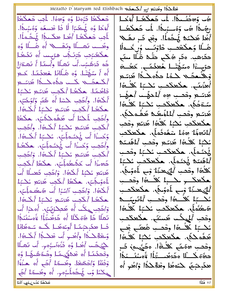تَعَلَّمُكُمُّا وَهُنْكُمْ رَبِيمُ جَمْعَكُمْ Mezalto D`Maryam sed Elishbach

تَعْكُمُا ثَبُّونَا وُو وُ30ا. لَمِب تَعْكُمُا أَوْخُلُ وَهِ يُعْطَبُوْا لَّا قُلْ هُنْتُهُمْ وَهُبُرْتُواْ. لَمْبِ تَعَكَّمُا أَمُا مِكْتِمُ! يُتَنَّمُلُ وهُــــد نَـصَـــلّا ونَـفْــــلا أَه هُـــلّا وُه ِ مِكْتَكِبُرْتِ خَرْسُكُ فَوُجِيبَ أَنْ تَكْتَحُلُّ هُم دُرْهُبُو. أَو يُعطُل وأَسيّا أَ يُعتَبْرَا أَه أَ سَجُتْا. وَه هُـلَابًا هَعجَسًا. حُــع أكْتَمَدُ لا كتب حَدُّه كَذَا هُوَجَدُ قَامَّمَنَا. هَكْمَا أَكْدِبَ مَّرْسُعَ بَكْتَهَا أَكْثَرُا. وأَحَدٍ حَسْأَ أَو هَدٍّ وَأَوَحَتَهِ. مكْعُدَا أَكْجِبِ هَٰنِسُم حُكِيَا أَكْتُوا. وٱكَصٖب لِمَكْمَل ٱب هَـقُمكِمَـٰيٌ. حَكْمُنَا أَكْتِبِ هَٰنِّكُمْ نُكْبَكُ أَكْتُهَا. وأَكْتِب وَكَسِنًا أَبِ يُحِسَّمِيٍّتِهِ. يُحْسَلَ أَبْحُدُّا. وٱخۡصِبِ وَكَسَـٰٓٓٓٓٓٓٓا ۗاُب ۖ يُحَشَّمَلَّيۡى. حَكْـٰهُـَا أكجب هُزئم نُكْبًا أَكْسُوا. وْاَحْصِب كَمِيزًا أَبِ جَدَّيقُولَيْنِ. حَكْمُا أَجْدِب هَٰزِعُم عُكْمُ أَحْكُمُّا. وْأَكْمِبْ كَعْسُلًا أَب لَمَوْجِبِهِ. هَكُمُا أَكْدِبَ هُزْعُمْ عُكْمًا أَحْدَهُ!. وَأَحَدِبِ ٱلْسَٰرَا أَمَّ هَمْعُدُولَمِنَى. لْمَكْمَلْ أَكْدِبْ هَٰزْتُمْ يُحْبَرُ أَيْحُرْهُا. وْاْحَمِينِ بِكُتْ أَهْ هُمِكْوُبُسُ، أَهْدُا أَب بَعِلًا جَا هُوَجْلًا أَو جَرَهَٰتُوَٰٓاً وُوسُنُمُّا صًا مِدَرِدَتِنَا أُوسَمَا كُنْ سُومَانَا وَعْدَانُكُمَا وَأَهُدِ أَب مْكَجًا أَكْمَا. لِّكِيْفُ، أَهْلَ وُهِ ثُنُّهَأَنِيُّهِمِ. أَنْ تَعْبُلُا وتَحدُمًا أَه هَدْؤَي مَا وحُدَهُمَا وُه وْضُلًا وَاصْفَعْدًا. وهُسمًا أَكُب أَه هٰزُوًّا لْكُمُلَا وُبِ لَمُخْمَلُّذُومِ. أَو وهُنْتُمَا أَثَى هُب وَهوَيُسْمَلَ أَب هُمْكُعُما أَوْجُما رِيَّىمَا شَـ وَمَــبُـمَّا. لَمـ هَـعَـكَـمَــا أَهُا هَٰذَٰٓءَ لَمُحْمَلًا. وَقِى كَے تَقَـٰلًا ۖ ھُــُلَا وَـمكْعْصـبِ خْاوْتَــب وُرِيْحــولَا حكَّاهِبِ. وكَرِ هُكْمٍ حَنُّكَ هُٰلَّا سَبِّ دِّئِ أَوْ مِمَكِّتْ الْمُعِدَّمَـٰبِ. كَعُـَــْ فَ وْ الْمُعَصَّلا حَدُّهُ حَذُّه حَدَّاً هَٰهَ حَدَّمَ أَهْبَنَى. هكعكصبِ مُحْبَمُ كَلُّهُ! هُزئتِهِ ودْعبِ ٥٥ أَلْمَدَّبِ، أَهِجُمْ: مَتَوَجَلُهِ. هَكُعَكَدَبِ مُحْبَرَا لَكُنُّوَا هُزئِم وِتَصِبِ ٱلْمَلَوُّبِعَكُمْ هُفُـٰهِكُلُمْ. مكعكص ئكبا كلأةا هزئم ودهب أَلْمَتُوذَا وَهُا سَعْوَفُولُ. هَكُعْكَفِ مُكْبَطْ كَلُّدُّا هُنسُم وتَحب ٱلمفَسَكَة لْحِشَملُ. هكْعِكْصِبِ مُحْكَمًا وَتَحْبِ أَلمَفْسَمْ رُحْسُماً. هكْعِكْصِبِ سُكْبَا لْمَدُّهُا وَحْصِبِ ٱلْمُرْبَعِظُمْ وَبِ لَمُوَمِّكَةٍ. مكعكب كباء كلاما وتصب ٱلْمُهْدَ أَلْمَ وَسَلَمَ مَعْظَمَتِ مُكْتَبِهِ لَكَلْهُ وَدْسِبِ ٱلْمَرْمِنِينَ ھَىعُنُم). مەكھىكتىب ئىكەل كلاھُا وْتُصِ ٱلْمَهْكُ، هُسْتُمْ. هَكْعَكْصِبِ مُكْتُبُكُمُ الْأَسْرَةُ الْمُحْسَبِ هُمْتُنِي بِهْنِي هَڤُەنْگُو. مْتْعَنْدَبْ حْبْرَا ݣْلْدُوْا وِتَعَبَّ 20مَنَّعَ لَمُذَةًا. 5ضَّىٰحہَ کَمِ حدَّة كُـــُلَّا هَجَّامُعُـــِـتُّهُ أَوْهِمْنُـــُـمُّاً هدَّ حَبَّ مَدَّ حَدَهُا وقَدارُكُمَا وْاهُدِ أُه

مَحْدُمُنَا حَزَّمَ مِنْهُمْ الْمُحْمَدُ